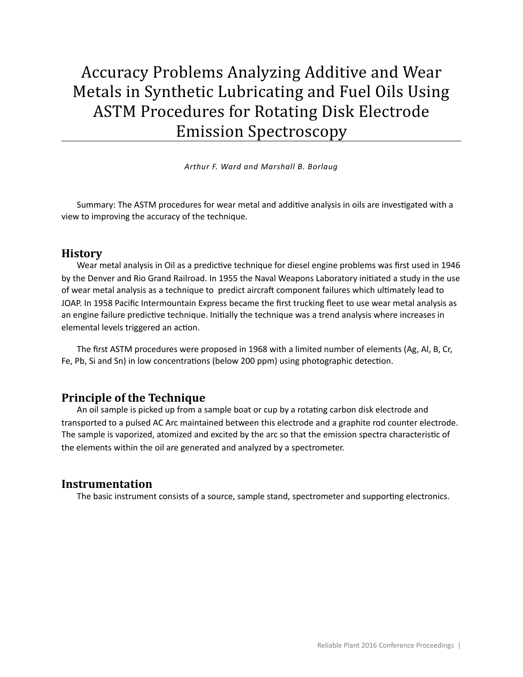# Accuracy Problems Analyzing Additive and Wear Metals in Synthetic Lubricating and Fuel Oils Using ASTM Procedures for Rotating Disk Electrode Emission Spectroscopy

*Arthur F. Ward and Marshall B. Borlaug* 

Summary: The ASTM procedures for wear metal and additive analysis in oils are investigated with a view to improving the accuracy of the technique.

#### **History**

Wear metal analysis in Oil as a predictive technique for diesel engine problems was first used in 1946 by the Denver and Rio Grand Railroad. In 1955 the Naval Weapons Laboratory initiated a study in the use of wear metal analysis as a technique to predict aircraft component failures which ultimately lead to JOAP. In 1958 Pacific Intermountain Express became the first trucking fleet to use wear metal analysis as an engine failure predictive technique. Initially the technique was a trend analysis where increases in elemental levels triggered an action.

The first ASTM procedures were proposed in 1968 with a limited number of elements (Ag, Al, B, Cr, Fe, Pb, Si and Sn) in low concentrations (below 200 ppm) using photographic detection.

#### **Principle of the Technique**

An oil sample is picked up from a sample boat or cup by a rotating carbon disk electrode and transported to a pulsed AC Arc maintained between this electrode and a graphite rod counter electrode. The sample is vaporized, atomized and excited by the arc so that the emission spectra characteristic of the elements within the oil are generated and analyzed by a spectrometer.

#### **Instrumentation**

The basic instrument consists of a source, sample stand, spectrometer and supporting electronics.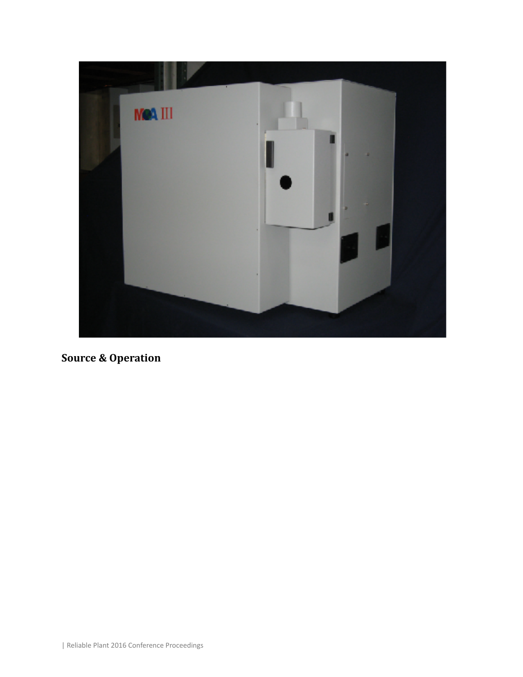

**Source & Operation**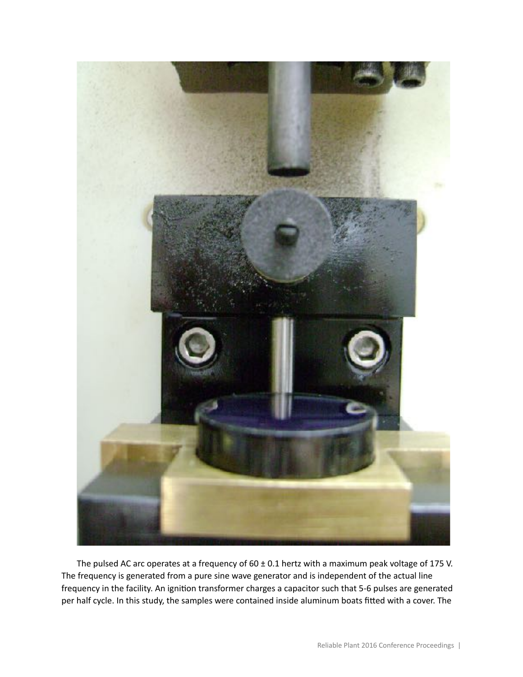

The pulsed AC arc operates at a frequency of 60 ± 0.1 hertz with a maximum peak voltage of 175 V. The frequency is generated from a pure sine wave generator and is independent of the actual line frequency in the facility. An ignition transformer charges a capacitor such that 5-6 pulses are generated per half cycle. In this study, the samples were contained inside aluminum boats fitted with a cover. The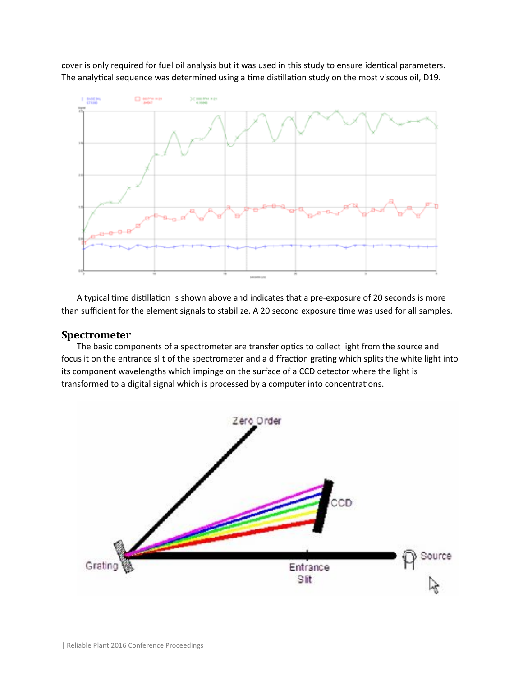cover is only required for fuel oil analysis but it was used in this study to ensure identical parameters. The analytical sequence was determined using a time distillation study on the most viscous oil, D19.



A typical time distillation is shown above and indicates that a pre-exposure of 20 seconds is more than sufficient for the element signals to stabilize. A 20 second exposure time was used for all samples.

#### **Spectrometer**

The basic components of a spectrometer are transfer optics to collect light from the source and focus it on the entrance slit of the spectrometer and a diffraction grating which splits the white light into its component wavelengths which impinge on the surface of a CCD detector where the light is transformed to a digital signal which is processed by a computer into concentrations.

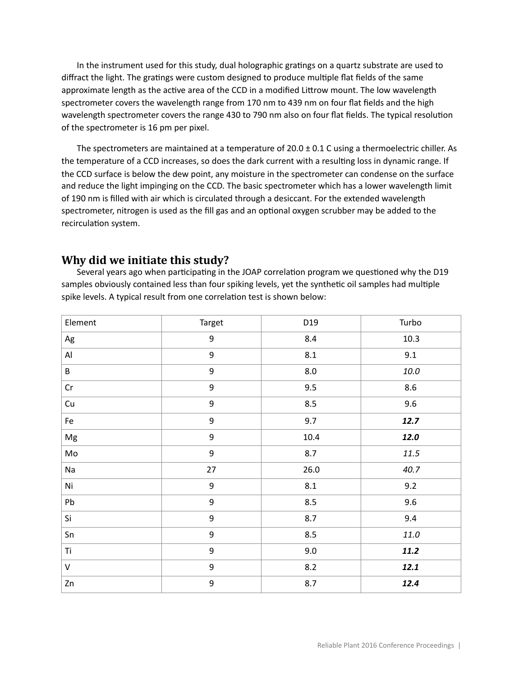In the instrument used for this study, dual holographic gratings on a quartz substrate are used to diffract the light. The gratings were custom designed to produce multiple flat fields of the same approximate length as the active area of the CCD in a modified Littrow mount. The low wavelength spectrometer covers the wavelength range from 170 nm to 439 nm on four flat fields and the high wavelength spectrometer covers the range 430 to 790 nm also on four flat fields. The typical resolution of the spectrometer is 16 pm per pixel.

The spectrometers are maintained at a temperature of 20.0 ± 0.1 C using a thermoelectric chiller. As the temperature of a CCD increases, so does the dark current with a resulting loss in dynamic range. If the CCD surface is below the dew point, any moisture in the spectrometer can condense on the surface and reduce the light impinging on the CCD. The basic spectrometer which has a lower wavelength limit of 190 nm is filled with air which is circulated through a desiccant. For the extended wavelength spectrometer, nitrogen is used as the fill gas and an optional oxygen scrubber may be added to the recirculation system.

# **Why did we initiate this study?**

Several years ago when participating in the JOAP correlation program we questioned why the D19 samples obviously contained less than four spiking levels, yet the synthetic oil samples had multiple spike levels. A typical result from one correlation test is shown below:

| Element                                                                                                                                                                                                                                                                                                                                                                                                                                                                                    | Target           | D19     | Turbo    |
|--------------------------------------------------------------------------------------------------------------------------------------------------------------------------------------------------------------------------------------------------------------------------------------------------------------------------------------------------------------------------------------------------------------------------------------------------------------------------------------------|------------------|---------|----------|
| Ag                                                                                                                                                                                                                                                                                                                                                                                                                                                                                         | $\boldsymbol{9}$ | 8.4     | 10.3     |
| Al                                                                                                                                                                                                                                                                                                                                                                                                                                                                                         | $\boldsymbol{9}$ | 8.1     | 9.1      |
| B                                                                                                                                                                                                                                                                                                                                                                                                                                                                                          | $\boldsymbol{9}$ | $8.0\,$ | $10.0\,$ |
| Cr                                                                                                                                                                                                                                                                                                                                                                                                                                                                                         | $\boldsymbol{9}$ | 9.5     | $8.6\,$  |
| Cu                                                                                                                                                                                                                                                                                                                                                                                                                                                                                         | $\boldsymbol{9}$ | 8.5     | 9.6      |
| Fe                                                                                                                                                                                                                                                                                                                                                                                                                                                                                         | $\boldsymbol{9}$ | 9.7     | 12.7     |
| Mg                                                                                                                                                                                                                                                                                                                                                                                                                                                                                         | $\boldsymbol{9}$ | 10.4    | 12.0     |
| $\mathsf{Mo}% _{\mathsf{M}}(\theta)=\left( \mathsf{Mod}_{\mathsf{M}}\left( \mathsf{Mod}_{\mathsf{M}}\left( \mathsf{Mod}_{\mathsf{M}}\left( \mathsf{Mod}_{\mathsf{M}}\left( \mathsf{Mod}_{\mathsf{M}}\left( \mathsf{Mod}_{\mathsf{M}}\left( \mathsf{Mod}_{\mathsf{M}}\left( \mathsf{Mod}_{\mathsf{M}}\left( \mathsf{Mod}_{\mathsf{M}}\left( \mathsf{Mod}_{\mathsf{M}}\left( \mathsf{Mod}_{\mathsf{M}}\left( \mathsf{Mod}_{\mathsf{M}}\left( \mathsf{Mod}_{\mathsf{M}}\left( \mathsf{Mod}_{$ | $\boldsymbol{9}$ | 8.7     | 11.5     |
| Na                                                                                                                                                                                                                                                                                                                                                                                                                                                                                         | 27               | 26.0    | 40.7     |
| Ni                                                                                                                                                                                                                                                                                                                                                                                                                                                                                         | $\boldsymbol{9}$ | 8.1     | 9.2      |
| Pb                                                                                                                                                                                                                                                                                                                                                                                                                                                                                         | $\boldsymbol{9}$ | 8.5     | 9.6      |
| Si                                                                                                                                                                                                                                                                                                                                                                                                                                                                                         | $\boldsymbol{9}$ | 8.7     | 9.4      |
| Sn                                                                                                                                                                                                                                                                                                                                                                                                                                                                                         | $\boldsymbol{9}$ | 8.5     | $11.0\,$ |
| Ti                                                                                                                                                                                                                                                                                                                                                                                                                                                                                         | $\boldsymbol{9}$ | 9.0     | 11.2     |
| V                                                                                                                                                                                                                                                                                                                                                                                                                                                                                          | $\boldsymbol{9}$ | 8.2     | 12.1     |
| Zn                                                                                                                                                                                                                                                                                                                                                                                                                                                                                         | $\boldsymbol{9}$ | 8.7     | 12.4     |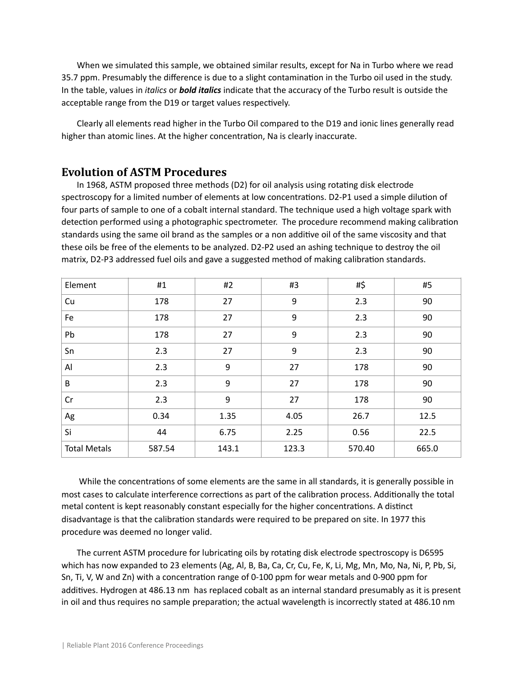When we simulated this sample, we obtained similar results, except for Na in Turbo where we read 35.7 ppm. Presumably the difference is due to a slight contamination in the Turbo oil used in the study. In the table, values in *italics* or *bold italics* indicate that the accuracy of the Turbo result is outside the acceptable range from the D19 or target values respectively.

Clearly all elements read higher in the Turbo Oil compared to the D19 and ionic lines generally read higher than atomic lines. At the higher concentration, Na is clearly inaccurate.

#### **Evolution of ASTM Procedures**

In 1968, ASTM proposed three methods (D2) for oil analysis using rotating disk electrode spectroscopy for a limited number of elements at low concentrations. D2-P1 used a simple dilution of four parts of sample to one of a cobalt internal standard. The technique used a high voltage spark with detection performed using a photographic spectrometer. The procedure recommend making calibration standards using the same oil brand as the samples or a non additive oil of the same viscosity and that these oils be free of the elements to be analyzed. D2-P2 used an ashing technique to destroy the oil matrix, D2-P3 addressed fuel oils and gave a suggested method of making calibration standards.

| Element             | #1     | #2    | #3               | #\$    | #5    |
|---------------------|--------|-------|------------------|--------|-------|
| Cu                  | 178    | 27    | 9                | 2.3    | 90    |
| Fe                  | 178    | 27    | $\boldsymbol{9}$ | 2.3    | 90    |
| Pb                  | 178    | 27    | $\boldsymbol{9}$ | 2.3    | 90    |
| Sn                  | 2.3    | 27    | 9                | 2.3    | 90    |
| AI                  | 2.3    | 9     | 27               | 178    | 90    |
| B                   | 2.3    | 9     | 27               | 178    | 90    |
| Cr                  | 2.3    | 9     | 27               | 178    | 90    |
| Ag                  | 0.34   | 1.35  | 4.05             | 26.7   | 12.5  |
| Si                  | 44     | 6.75  | 2.25             | 0.56   | 22.5  |
| <b>Total Metals</b> | 587.54 | 143.1 | 123.3            | 570.40 | 665.0 |

While the concentrations of some elements are the same in all standards, it is generally possible in most cases to calculate interference corrections as part of the calibration process. Additionally the total metal content is kept reasonably constant especially for the higher concentrations. A distinct disadvantage is that the calibration standards were required to be prepared on site. In 1977 this procedure was deemed no longer valid.

The current ASTM procedure for lubricating oils by rotating disk electrode spectroscopy is D6595 which has now expanded to 23 elements (Ag, Al, B, Ba, Ca, Cr, Cu, Fe, K, Li, Mg, Mn, Mo, Na, Ni, P, Pb, Si, Sn, Ti, V, W and Zn) with a concentration range of 0-100 ppm for wear metals and 0-900 ppm for additives. Hydrogen at 486.13 nm has replaced cobalt as an internal standard presumably as it is present in oil and thus requires no sample preparation; the actual wavelength is incorrectly stated at 486.10 nm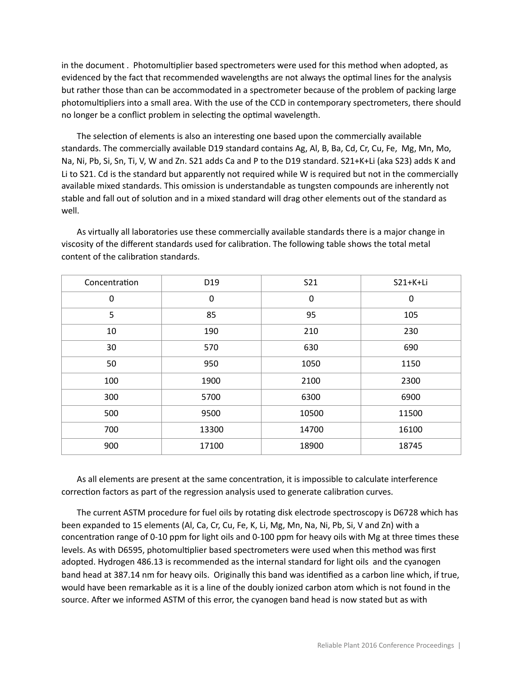in the document . Photomultiplier based spectrometers were used for this method when adopted, as evidenced by the fact that recommended wavelengths are not always the optimal lines for the analysis but rather those than can be accommodated in a spectrometer because of the problem of packing large photomultipliers into a small area. With the use of the CCD in contemporary spectrometers, there should no longer be a conflict problem in selecting the optimal wavelength.

The selection of elements is also an interesting one based upon the commercially available standards. The commercially available D19 standard contains Ag, Al, B, Ba, Cd, Cr, Cu, Fe, Mg, Mn, Mo, Na, Ni, Pb, Si, Sn, Ti, V, W and Zn. S21 adds Ca and P to the D19 standard. S21+K+Li (aka S23) adds K and Li to S21. Cd is the standard but apparently not required while W is required but not in the commercially available mixed standards. This omission is understandable as tungsten compounds are inherently not stable and fall out of solution and in a mixed standard will drag other elements out of the standard as well.

As virtually all laboratories use these commercially available standards there is a major change in viscosity of the different standards used for calibration. The following table shows the total metal content of the calibration standards.

| Concentration | D19         | S21         | S21+K+Li    |
|---------------|-------------|-------------|-------------|
| $\mathbf 0$   | $\mathbf 0$ | $\mathbf 0$ | $\mathbf 0$ |
| 5             | 85          | 95          | 105         |
| 10            | 190         | 210         | 230         |
| 30            | 570         | 630         | 690         |
| 50            | 950         | 1050        | 1150        |
| 100           | 1900        | 2100        | 2300        |
| 300           | 5700        | 6300        | 6900        |
| 500           | 9500        | 10500       | 11500       |
| 700           | 13300       | 14700       | 16100       |
| 900           | 17100       | 18900       | 18745       |

As all elements are present at the same concentration, it is impossible to calculate interference correction factors as part of the regression analysis used to generate calibration curves.

The current ASTM procedure for fuel oils by rotating disk electrode spectroscopy is D6728 which has been expanded to 15 elements (Al, Ca, Cr, Cu, Fe, K, Li, Mg, Mn, Na, Ni, Pb, Si, V and Zn) with a concentration range of 0-10 ppm for light oils and 0-100 ppm for heavy oils with Mg at three times these levels. As with D6595, photomultiplier based spectrometers were used when this method was first adopted. Hydrogen 486.13 is recommended as the internal standard for light oils and the cyanogen band head at 387.14 nm for heavy oils. Originally this band was identified as a carbon line which, if true, would have been remarkable as it is a line of the doubly ionized carbon atom which is not found in the source. After we informed ASTM of this error, the cyanogen band head is now stated but as with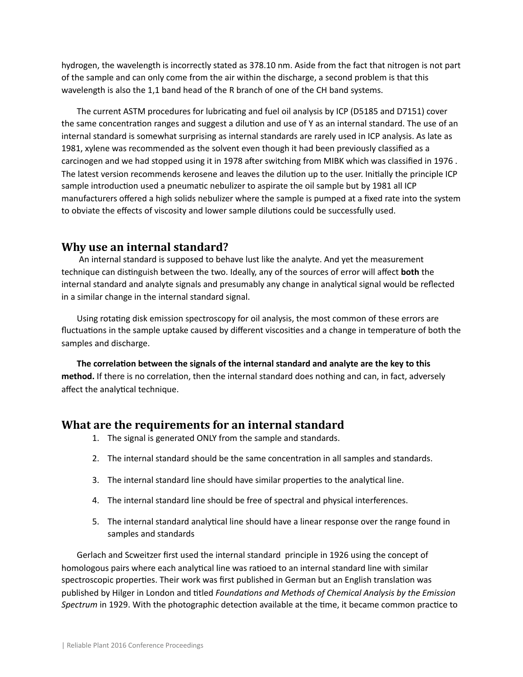hydrogen, the wavelength is incorrectly stated as 378.10 nm. Aside from the fact that nitrogen is not part of the sample and can only come from the air within the discharge, a second problem is that this wavelength is also the 1,1 band head of the R branch of one of the CH band systems.

The current ASTM procedures for lubricating and fuel oil analysis by ICP (D5185 and D7151) cover the same concentration ranges and suggest a dilution and use of Y as an internal standard. The use of an internal standard is somewhat surprising as internal standards are rarely used in ICP analysis. As late as 1981, xylene was recommended as the solvent even though it had been previously classified as a carcinogen and we had stopped using it in 1978 after switching from MIBK which was classified in 1976. The latest version recommends kerosene and leaves the dilution up to the user. Initially the principle ICP sample introduction used a pneumatic nebulizer to aspirate the oil sample but by 1981 all ICP manufacturers offered a high solids nebulizer where the sample is pumped at a fixed rate into the system to obviate the effects of viscosity and lower sample dilutions could be successfully used.

## **Why use an internal standard?**

 An internal standard is supposed to behave lust like the analyte. And yet the measurement technique can distinguish between the two. Ideally, any of the sources of error will affect **both** the internal standard and analyte signals and presumably any change in analytical signal would be reflected in a similar change in the internal standard signal.

Using rotating disk emission spectroscopy for oil analysis, the most common of these errors are fluctuations in the sample uptake caused by different viscosities and a change in temperature of both the samples and discharge.

The correlation between the signals of the internal standard and analyte are the key to this method. If there is no correlation, then the internal standard does nothing and can, in fact, adversely affect the analytical technique.

# **What are the requirements for an internal standard**

- 1. The signal is generated ONLY from the sample and standards.
- 2. The internal standard should be the same concentration in all samples and standards.
- 3. The internal standard line should have similar properties to the analytical line.
- 4. The internal standard line should be free of spectral and physical interferences.
- 5. The internal standard analytical line should have a linear response over the range found in samples and standards

Gerlach and Scweitzer first used the internal standard principle in 1926 using the concept of homologous pairs where each analytical line was ratioed to an internal standard line with similar spectroscopic properties. Their work was first published in German but an English translation was published by Hilger in London and titled *Foundations and Methods of Chemical Analysis by the Emission Spectrum* in 1929. With the photographic detection available at the time, it became common practice to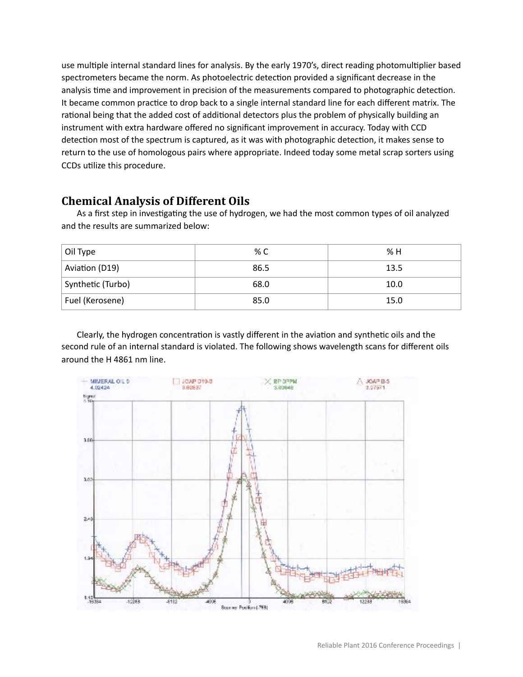use multiple internal standard lines for analysis. By the early 1970's, direct reading photomultiplier based spectrometers became the norm. As photoelectric detection provided a significant decrease in the analysis time and improvement in precision of the measurements compared to photographic detection. It became common practice to drop back to a single internal standard line for each different matrix. The rational being that the added cost of additional detectors plus the problem of physically building an instrument with extra hardware offered no significant improvement in accuracy. Today with CCD detection most of the spectrum is captured, as it was with photographic detection, it makes sense to return to the use of homologous pairs where appropriate. Indeed today some metal scrap sorters using CCDs utilize this procedure.

# **Chemical Analysis of Different Oils**

As a first step in investigating the use of hydrogen, we had the most common types of oil analyzed and the results are summarized below:

| Oil Type          | % C  | % H  |
|-------------------|------|------|
| Aviation (D19)    | 86.5 | 13.5 |
| Synthetic (Turbo) | 68.0 | 10.0 |
| Fuel (Kerosene)   | 85.0 | 15.0 |

Clearly, the hydrogen concentration is vastly different in the aviation and synthetic oils and the second rule of an internal standard is violated. The following shows wavelength scans for different oils around the H 4861 nm line.

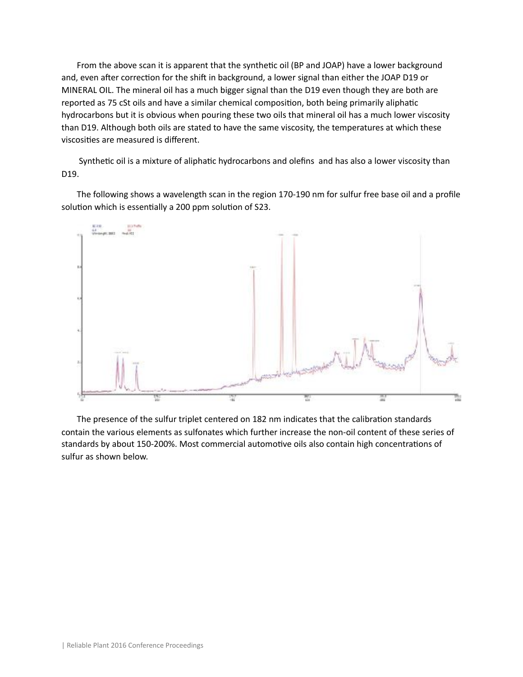From the above scan it is apparent that the synthetic oil (BP and JOAP) have a lower background and, even after correction for the shift in background, a lower signal than either the JOAP D19 or MINERAL OIL. The mineral oil has a much bigger signal than the D19 even though they are both are reported as 75 cSt oils and have a similar chemical composition, both being primarily aliphatic hydrocarbons but it is obvious when pouring these two oils that mineral oil has a much lower viscosity than D19. Although both oils are stated to have the same viscosity, the temperatures at which these viscosities are measured is different.

Synthetic oil is a mixture of aliphatic hydrocarbons and olefins and has also a lower viscosity than D19.

The following shows a wavelength scan in the region 170-190 nm for sulfur free base oil and a profile solution which is essentially a 200 ppm solution of S23.



The presence of the sulfur triplet centered on 182 nm indicates that the calibration standards contain the various elements as sulfonates which further increase the non-oil content of these series of standards by about 150-200%. Most commercial automotive oils also contain high concentrations of sulfur as shown below.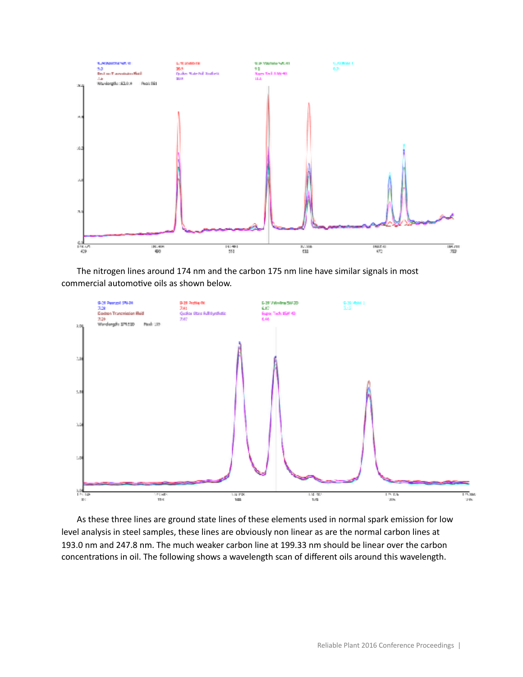

The nitrogen lines around 174 nm and the carbon 175 nm line have similar signals in most commercial automotive oils as shown below.



As these three lines are ground state lines of these elements used in normal spark emission for low level analysis in steel samples, these lines are obviously non linear as are the normal carbon lines at 193.0 nm and 247.8 nm. The much weaker carbon line at 199.33 nm should be linear over the carbon concentrations in oil. The following shows a wavelength scan of different oils around this wavelength.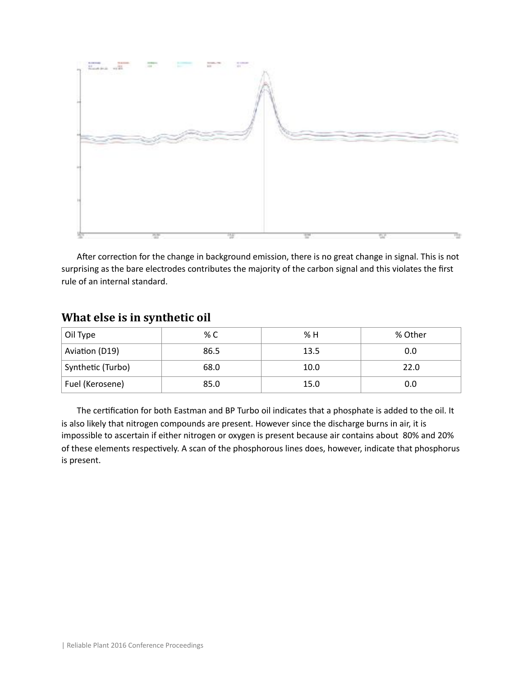

After correction for the change in background emission, there is no great change in signal. This is not surprising as the bare electrodes contributes the majority of the carbon signal and this violates the first rule of an internal standard.

# **What else is in synthetic oil**

| Oil Type          | % C  | % H  | % Other |
|-------------------|------|------|---------|
| Aviation (D19)    | 86.5 | 13.5 | 0.0     |
| Synthetic (Turbo) | 68.0 | 10.0 | 22.0    |
| Fuel (Kerosene)   | 85.0 | 15.0 | 0.0     |

The certification for both Eastman and BP Turbo oil indicates that a phosphate is added to the oil. It is also likely that nitrogen compounds are present. However since the discharge burns in air, it is impossible to ascertain if either nitrogen or oxygen is present because air contains about 80% and 20% of these elements respectively. A scan of the phosphorous lines does, however, indicate that phosphorus is present.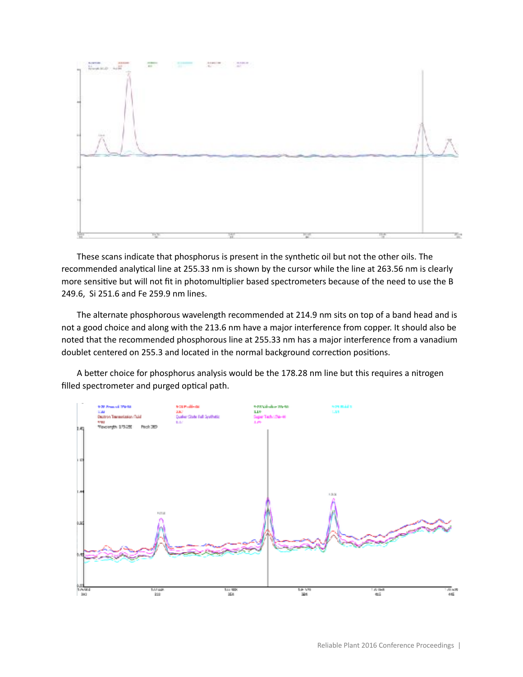

These scans indicate that phosphorus is present in the synthetic oil but not the other oils. The recommended analytical line at 255.33 nm is shown by the cursor while the line at 263.56 nm is clearly more sensitive but will not fit in photomultiplier based spectrometers because of the need to use the B 249.6, Si 251.6 and Fe 259.9 nm lines.

The alternate phosphorous wavelength recommended at 214.9 nm sits on top of a band head and is not a good choice and along with the 213.6 nm have a major interference from copper. It should also be noted that the recommended phosphorous line at 255.33 nm has a major interference from a vanadium doublet centered on 255.3 and located in the normal background correction positions.

A better choice for phosphorus analysis would be the 178.28 nm line but this requires a nitrogen filled spectrometer and purged optical path.

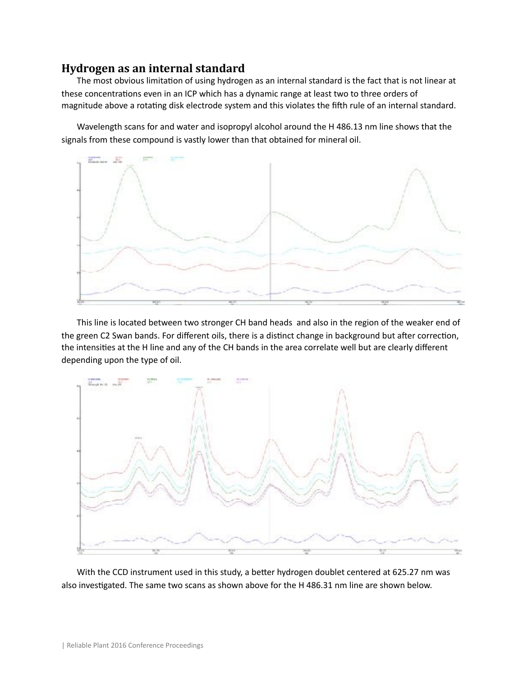#### **Hydrogen as an internal standard**

The most obvious limitation of using hydrogen as an internal standard is the fact that is not linear at these concentrations even in an ICP which has a dynamic range at least two to three orders of magnitude above a rotating disk electrode system and this violates the fifth rule of an internal standard.

Wavelength scans for and water and isopropyl alcohol around the H 486.13 nm line shows that the signals from these compound is vastly lower than that obtained for mineral oil.



This line is located between two stronger CH band heads and also in the region of the weaker end of the green C2 Swan bands. For different oils, there is a distinct change in background but after correction, the intensities at the H line and any of the CH bands in the area correlate well but are clearly different depending upon the type of oil.



With the CCD instrument used in this study, a better hydrogen doublet centered at 625.27 nm was also investigated. The same two scans as shown above for the H 486.31 nm line are shown below.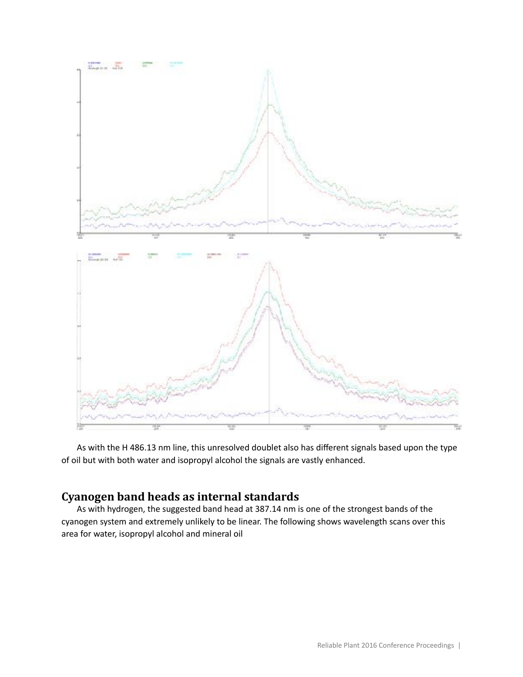

As with the H 486.13 nm line, this unresolved doublet also has different signals based upon the type of oil but with both water and isopropyl alcohol the signals are vastly enhanced.

# **Cyanogen band heads as internal standards**

As with hydrogen, the suggested band head at 387.14 nm is one of the strongest bands of the cyanogen system and extremely unlikely to be linear. The following shows wavelength scans over this area for water, isopropyl alcohol and mineral oil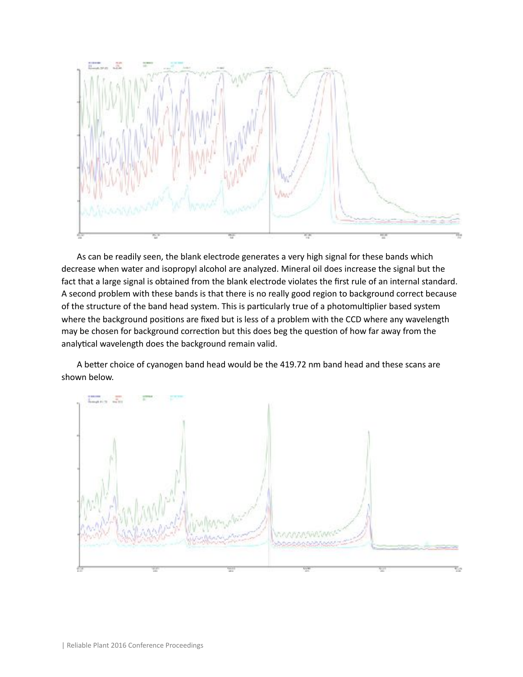

As can be readily seen, the blank electrode generates a very high signal for these bands which decrease when water and isopropyl alcohol are analyzed. Mineral oil does increase the signal but the fact that a large signal is obtained from the blank electrode violates the first rule of an internal standard. A second problem with these bands is that there is no really good region to background correct because of the structure of the band head system. This is particularly true of a photomultiplier based system where the background positions are fixed but is less of a problem with the CCD where any wavelength may be chosen for background correction but this does beg the question of how far away from the analytical wavelength does the background remain valid.

A better choice of cyanogen band head would be the 419.72 nm band head and these scans are shown below.

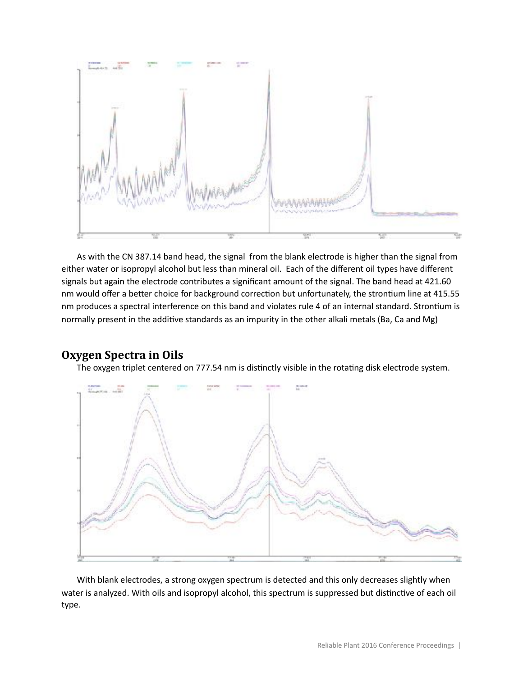

As with the CN 387.14 band head, the signal from the blank electrode is higher than the signal from either water or isopropyl alcohol but less than mineral oil. Each of the different oil types have different signals but again the electrode contributes a significant amount of the signal. The band head at 421.60 nm would offer a better choice for background correction but unfortunately, the strontium line at 415.55 nm produces a spectral interference on this band and violates rule 4 of an internal standard. Strontium is normally present in the additive standards as an impurity in the other alkali metals (Ba, Ca and Mg)

#### **Oxygen Spectra in Oils**

The oxygen triplet centered on 777.54 nm is distinctly visible in the rotating disk electrode system.



With blank electrodes, a strong oxygen spectrum is detected and this only decreases slightly when water is analyzed. With oils and isopropyl alcohol, this spectrum is suppressed but distinctive of each oil type.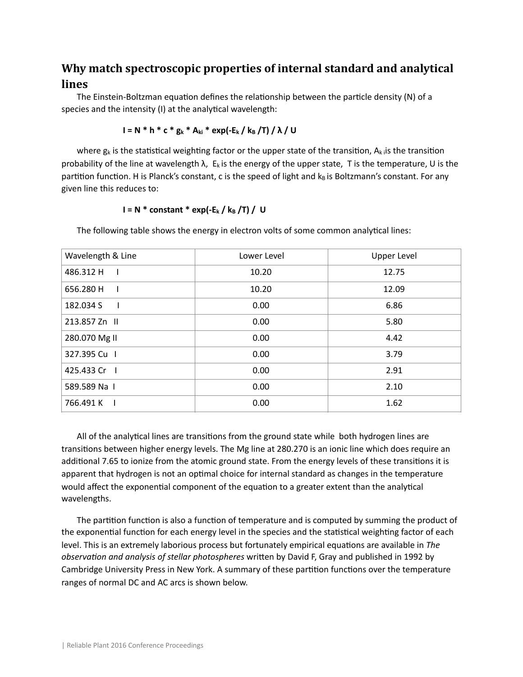# **Why match spectroscopic properties of internal standard and analytical lines**

The Einstein-Boltzman equation defines the relationship between the particle density  $(N)$  of a species and the intensity (I) at the analytical wavelength:

$$
I = N * h * c * g_k * A_{ki} * exp(-E_k / k_B / T) / \lambda / U
$$

where  $g_k$  is the statistical weighting factor or the upper state of the transition, A<sub>k i</sub> is the transition probability of the line at wavelength  $\lambda$ , E<sub>k</sub> is the energy of the upper state, T is the temperature, U is the partition function. H is Planck's constant, c is the speed of light and  $k_B$  is Boltzmann's constant. For any given line this reduces to:

#### $I = N$  \* constant \* exp(-E<sub>k</sub> / k<sub>B</sub> /T) / U

The following table shows the energy in electron volts of some common analytical lines:

| Wavelength & Line           | Lower Level | <b>Upper Level</b> |
|-----------------------------|-------------|--------------------|
| 486.312 H<br>$\blacksquare$ | 10.20       | 12.75              |
| 656.280 H<br>$\blacksquare$ | 10.20       | 12.09              |
| 182.034 S<br>- 1            | 0.00        | 6.86               |
| 213.857 Zn II               | 0.00        | 5.80               |
| 280.070 Mg II               | 0.00        | 4.42               |
| 327.395 Cu I                | 0.00        | 3.79               |
| 425.433 Cr                  | 0.00        | 2.91               |
| 589.589 Na I                | 0.00        | 2.10               |
| 766.491 K                   | 0.00        | 1.62               |

All of the analytical lines are transitions from the ground state while both hydrogen lines are transitions between higher energy levels. The Mg line at 280.270 is an ionic line which does require an additional 7.65 to ionize from the atomic ground state. From the energy levels of these transitions it is apparent that hydrogen is not an optimal choice for internal standard as changes in the temperature would affect the exponential component of the equation to a greater extent than the analytical wavelengths.

The partition function is also a function of temperature and is computed by summing the product of the exponential function for each energy level in the species and the statistical weighting factor of each level. This is an extremely laborious process but fortunately empirical equations are available in *The observation and analysis of stellar photospheres* written by David F, Gray and published in 1992 by Cambridge University Press in New York. A summary of these partition functions over the temperature ranges of normal DC and AC arcs is shown below.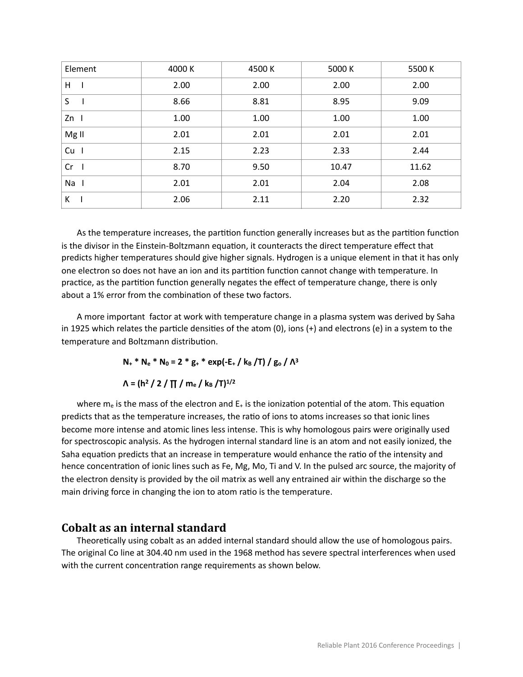| Element          | 4000 K | 4500 K | 5000 K | 5500 K |
|------------------|--------|--------|--------|--------|
| н                | 2.00   | 2.00   | 2.00   | 2.00   |
| S                | 8.66   | 8.81   | 8.95   | 9.09   |
| $Zn$             | 1.00   | 1.00   | 1.00   | 1.00   |
| Mg <sub>II</sub> | 2.01   | 2.01   | 2.01   | 2.01   |
| $Cu$ $I$         | 2.15   | 2.23   | 2.33   | 2.44   |
| $Cr$             | 8.70   | 9.50   | 10.47  | 11.62  |
| Na I             | 2.01   | 2.01   | 2.04   | 2.08   |
| К                | 2.06   | 2.11   | 2.20   | 2.32   |

As the temperature increases, the partition function generally increases but as the partition function is the divisor in the Einstein-Boltzmann equation, it counteracts the direct temperature effect that predicts higher temperatures should give higher signals. Hydrogen is a unique element in that it has only one electron so does not have an ion and its partition function cannot change with temperature. In practice, as the partition function generally negates the effect of temperature change, there is only about a 1% error from the combination of these two factors.

A more important factor at work with temperature change in a plasma system was derived by Saha in 1925 which relates the particle densities of the atom  $(0)$ , ions  $(+)$  and electrons (e) in a system to the temperature and Boltzmann distribution.

 $N_{+}$  \*  $N_{e}$  \*  $N_{0}$  = 2 \*  $g_{+}$  \*  $exp(-E_{+}/k_{B}/T)/g_{0}/\Lambda^{3}$ 

#### $\Lambda = (h^2 / 2 / \Pi / m_e / k_B / T)^{1/2}$

where  $m_e$  is the mass of the electron and  $E_+$  is the ionization potential of the atom. This equation predicts that as the temperature increases, the ratio of ions to atoms increases so that ionic lines become more intense and atomic lines less intense. This is why homologous pairs were originally used for spectroscopic analysis. As the hydrogen internal standard line is an atom and not easily ionized, the Saha equation predicts that an increase in temperature would enhance the ratio of the intensity and hence concentration of ionic lines such as Fe, Mg, Mo, Ti and V. In the pulsed arc source, the majority of the electron density is provided by the oil matrix as well any entrained air within the discharge so the main driving force in changing the ion to atom ratio is the temperature.

#### **Cobalt as an internal standard**

Theoretically using cobalt as an added internal standard should allow the use of homologous pairs. The original Co line at 304.40 nm used in the 1968 method has severe spectral interferences when used with the current concentration range requirements as shown below.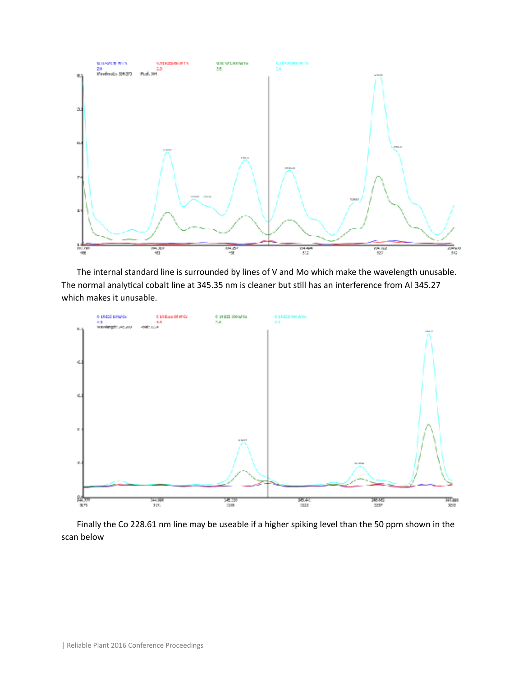

The internal standard line is surrounded by lines of V and Mo which make the wavelength unusable. The normal analytical cobalt line at 345.35 nm is cleaner but still has an interference from Al 345.27 which makes it unusable.



Finally the Co 228.61 nm line may be useable if a higher spiking level than the 50 ppm shown in the scan below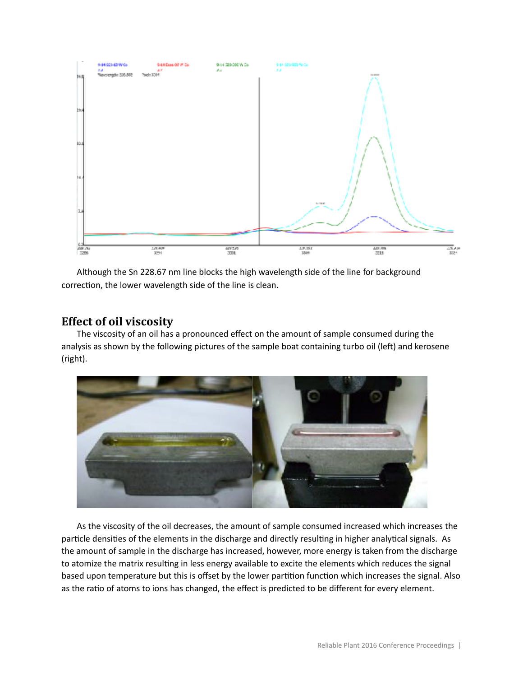

Although the Sn 228.67 nm line blocks the high wavelength side of the line for background correction, the lower wavelength side of the line is clean.

## **Effect of oil viscosity**

The viscosity of an oil has a pronounced effect on the amount of sample consumed during the analysis as shown by the following pictures of the sample boat containing turbo oil (left) and kerosene (right).



As the viscosity of the oil decreases, the amount of sample consumed increased which increases the particle densities of the elements in the discharge and directly resulting in higher analytical signals. As the amount of sample in the discharge has increased, however, more energy is taken from the discharge to atomize the matrix resulting in less energy available to excite the elements which reduces the signal based upon temperature but this is offset by the lower partition function which increases the signal. Also as the ratio of atoms to ions has changed, the effect is predicted to be different for every element.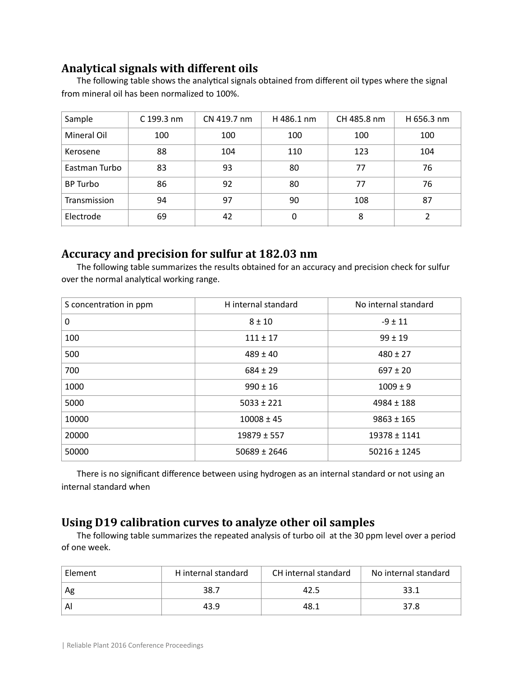# **Analytical signals with different oils**

The following table shows the analytical signals obtained from different oil types where the signal from mineral oil has been normalized to 100%.

| Sample        | $C$ 199.3 nm | CN 419.7 nm | H 486.1 nm | CH 485.8 nm | H 656.3 nm |
|---------------|--------------|-------------|------------|-------------|------------|
| Mineral Oil   | 100          | 100         | 100        | 100         | 100        |
| Kerosene      | 88           | 104         | 110        | 123         | 104        |
| Eastman Turbo | 83           | 93          | 80         | 77          | 76         |
| BP Turbo      | 86           | 92          | 80         | 77          | 76         |
| Transmission  | 94           | 97          | 90         | 108         | 87         |
| Electrode     | 69           | 42          | 0          | 8           | 2          |

# **Accuracy and precision for sulfur at 182.03 nm**

The following table summarizes the results obtained for an accuracy and precision check for sulfur over the normal analytical working range.

| S concentration in ppm | H internal standard | No internal standard |
|------------------------|---------------------|----------------------|
| 0                      | $8 + 10$            | $-9 \pm 11$          |
| 100                    | $111 \pm 17$        | $99 \pm 19$          |
| 500                    | $489 \pm 40$        | $480 \pm 27$         |
| 700                    | $684 \pm 29$        | $697 \pm 20$         |
| 1000                   | $990 \pm 16$        | $1009 \pm 9$         |
| 5000                   | $5033 \pm 221$      | $4984 \pm 188$       |
| 10000                  | $10008 \pm 45$      | $9863 \pm 165$       |
| 20000                  | $19879 \pm 557$     | 19378 ± 1141         |
| 50000                  | $50689 \pm 2646$    | $50216 \pm 1245$     |

There is no significant difference between using hydrogen as an internal standard or not using an internal standard when

# **Using D19 calibration curves to analyze other oil samples**

The following table summarizes the repeated analysis of turbo oil at the 30 ppm level over a period of one week.

| Element | H internal standard | CH internal standard | No internal standard |
|---------|---------------------|----------------------|----------------------|
| Ag      | 38.7                | 42.5                 |                      |
| Al      | 43.9                | 48.1                 | 37.8                 |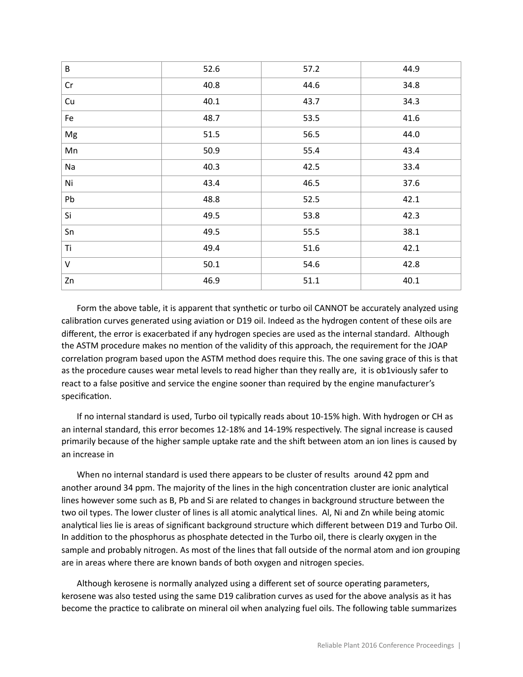| $\sf B$ | 52.6   | 57.2     | 44.9 |
|---------|--------|----------|------|
| Cr      | 40.8   | 44.6     | 34.8 |
| Cu      | 40.1   | 43.7     | 34.3 |
| Fe      | 48.7   | 53.5     | 41.6 |
| Mg      | 51.5   | 56.5     | 44.0 |
| Mn      | 50.9   | 55.4     | 43.4 |
| Na      | 40.3   | 42.5     | 33.4 |
| Ni      | 43.4   | 46.5     | 37.6 |
| Pb      | 48.8   | 52.5     | 42.1 |
| Si      | 49.5   | 53.8     | 42.3 |
| Sn      | 49.5   | 55.5     | 38.1 |
| Ti      | 49.4   | 51.6     | 42.1 |
| $\vee$  | $50.1$ | 54.6     | 42.8 |
| Zn      | 46.9   | $51.1\,$ | 40.1 |

Form the above table, it is apparent that synthetic or turbo oil CANNOT be accurately analyzed using calibration curves generated using aviation or D19 oil. Indeed as the hydrogen content of these oils are different, the error is exacerbated if any hydrogen species are used as the internal standard. Although the ASTM procedure makes no mention of the validity of this approach, the requirement for the JOAP correlation program based upon the ASTM method does require this. The one saving grace of this is that as the procedure causes wear metal levels to read higher than they really are, it is ob1viously safer to react to a false positive and service the engine sooner than required by the engine manufacturer's specification.

If no internal standard is used, Turbo oil typically reads about 10-15% high. With hydrogen or CH as an internal standard, this error becomes 12-18% and 14-19% respectively. The signal increase is caused primarily because of the higher sample uptake rate and the shift between atom an ion lines is caused by an increase in

When no internal standard is used there appears to be cluster of results around 42 ppm and another around 34 ppm. The majority of the lines in the high concentration cluster are ionic analytical lines however some such as B, Pb and Si are related to changes in background structure between the two oil types. The lower cluster of lines is all atomic analytical lines. Al, Ni and Zn while being atomic analytical lies lie is areas of significant background structure which different between D19 and Turbo Oil. In addition to the phosphorus as phosphate detected in the Turbo oil, there is clearly oxygen in the sample and probably nitrogen. As most of the lines that fall outside of the normal atom and ion grouping are in areas where there are known bands of both oxygen and nitrogen species.

Although kerosene is normally analyzed using a different set of source operating parameters, kerosene was also tested using the same D19 calibration curves as used for the above analysis as it has become the practice to calibrate on mineral oil when analyzing fuel oils. The following table summarizes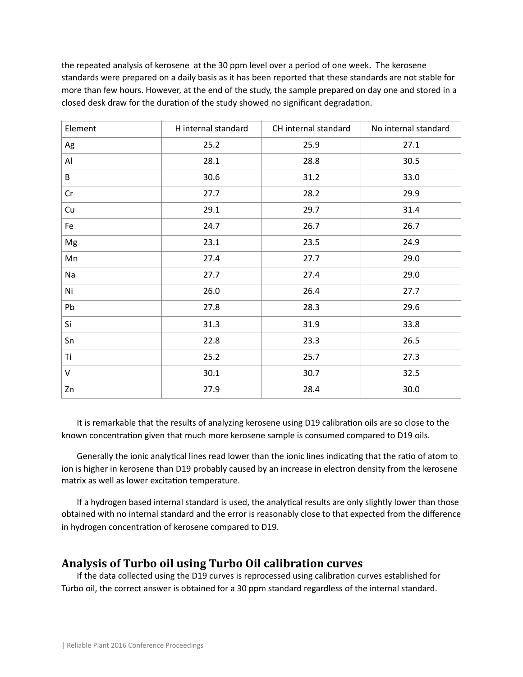the repeated analysis of kerosene at the 30 ppm level over a period of one week. The kerosene standards were prepared on a daily basis as it has been reported that these standards are not stable for more than few hours. However, at the end of the study, the sample prepared on day one and stored in a closed desk draw for the duration of the study showed no significant degradation.

| Element | H internal standard | CH internal standard | No internal standard |
|---------|---------------------|----------------------|----------------------|
| Ag      | 25.2                | 25.9                 | 27.1                 |
| Al      | 28.1                | 28.8                 | 30.5                 |
| B       | 30.6                | 31.2                 | 33.0                 |
| Cr      | 27.7                | 28.2                 | 29.9                 |
| Cu      | 29.1                | 29.7                 | 31.4                 |
| Fe      | 24.7                | 26.7                 | 26.7                 |
| Mg      | 23.1                | 23.5                 | 24.9                 |
| Mn      | 27.4                | 27.7                 | 29.0                 |
| Na      | 27.7                | 27.4                 | 29.0                 |
| Ni      | 26.0                | 26.4                 | 27.7                 |
| Pb      | 27.8                | 28.3                 | 29.6                 |
| Si      | 31.3                | 31.9                 | 33.8                 |
| Sn      | 22.8                | 23.3                 | 26.5                 |
| Ti      | 25.2                | 25.7                 | 27.3                 |
| $\vee$  | 30.1                | 30.7                 | 32.5                 |
| Zn      | 27.9                | 28.4                 | 30.0                 |

It is remarkable that the results of analyzing kerosene using D19 calibration oils are so close to the known concentration given that much more kerosene sample is consumed compared to D19 oils.

Generally the ionic analytical lines read lower than the ionic lines indicating that the ratio of atom to ion is higher in kerosene than D19 probably caused by an increase in electron density from the kerosene matrix as well as lower excitation temperature.

If a hydrogen based internal standard is used, the analytical results are only slightly lower than those obtained with no internal standard and the error is reasonably close to that expected from the difference in hydrogen concentration of kerosene compared to D19.

# **Analysis of Turbo oil using Turbo Oil calibration curves**

If the data collected using the D19 curves is reprocessed using calibration curves established for Turbo oil, the correct answer is obtained for a 30 ppm standard regardless of the internal standard.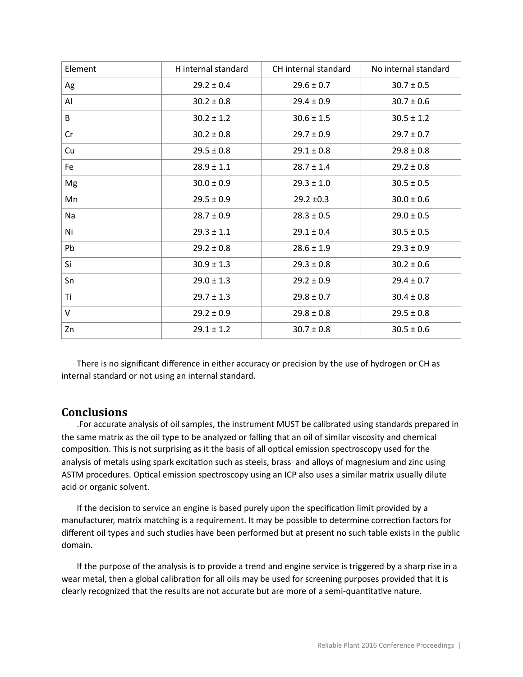| Element   | H internal standard | CH internal standard | No internal standard |
|-----------|---------------------|----------------------|----------------------|
| Ag        | $29.2 \pm 0.4$      | $29.6 \pm 0.7$       | $30.7 \pm 0.5$       |
| Al        | $30.2 \pm 0.8$      | $29.4 \pm 0.9$       | $30.7 \pm 0.6$       |
| B         | $30.2 \pm 1.2$      | $30.6 \pm 1.5$       | $30.5 \pm 1.2$       |
| Cr        | $30.2 \pm 0.8$      | $29.7 \pm 0.9$       | $29.7 \pm 0.7$       |
| Cu        | $29.5 \pm 0.8$      | $29.1 \pm 0.8$       | $29.8 \pm 0.8$       |
| Fe        | $28.9 \pm 1.1$      | $28.7 \pm 1.4$       | $29.2 \pm 0.8$       |
| Mg        | $30.0 \pm 0.9$      | $29.3 \pm 1.0$       | $30.5 \pm 0.5$       |
| Mn        | $29.5 \pm 0.9$      | $29.2 \pm 0.3$       | $30.0 \pm 0.6$       |
| <b>Na</b> | $28.7 \pm 0.9$      | $28.3 \pm 0.5$       | $29.0 \pm 0.5$       |
| Ni        | $29.3 \pm 1.1$      | $29.1 \pm 0.4$       | $30.5 \pm 0.5$       |
| Pb        | $29.2 \pm 0.8$      | $28.6 \pm 1.9$       | $29.3 \pm 0.9$       |
| Si        | $30.9 \pm 1.3$      | $29.3 \pm 0.8$       | $30.2 \pm 0.6$       |
| Sn        | $29.0 \pm 1.3$      | $29.2 \pm 0.9$       | $29.4 \pm 0.7$       |
| Τi        | $29.7 \pm 1.3$      | $29.8 \pm 0.7$       | $30.4 \pm 0.8$       |
| $\vee$    | $29.2 \pm 0.9$      | $29.8 \pm 0.8$       | $29.5 \pm 0.8$       |
| Zn        | $29.1 \pm 1.2$      | $30.7 \pm 0.8$       | $30.5 \pm 0.6$       |

There is no significant difference in either accuracy or precision by the use of hydrogen or CH as internal standard or not using an internal standard.

#### **Conclusions**

.For accurate analysis of oil samples, the instrument MUST be calibrated using standards prepared in the same matrix as the oil type to be analyzed or falling that an oil of similar viscosity and chemical composition. This is not surprising as it the basis of all optical emission spectroscopy used for the analysis of metals using spark excitation such as steels, brass and alloys of magnesium and zinc using ASTM procedures. Optical emission spectroscopy using an ICP also uses a similar matrix usually dilute acid or organic solvent.

If the decision to service an engine is based purely upon the specification limit provided by a manufacturer, matrix matching is a requirement. It may be possible to determine correction factors for different oil types and such studies have been performed but at present no such table exists in the public domain.

If the purpose of the analysis is to provide a trend and engine service is triggered by a sharp rise in a wear metal, then a global calibration for all oils may be used for screening purposes provided that it is clearly recognized that the results are not accurate but are more of a semi-quantitative nature.